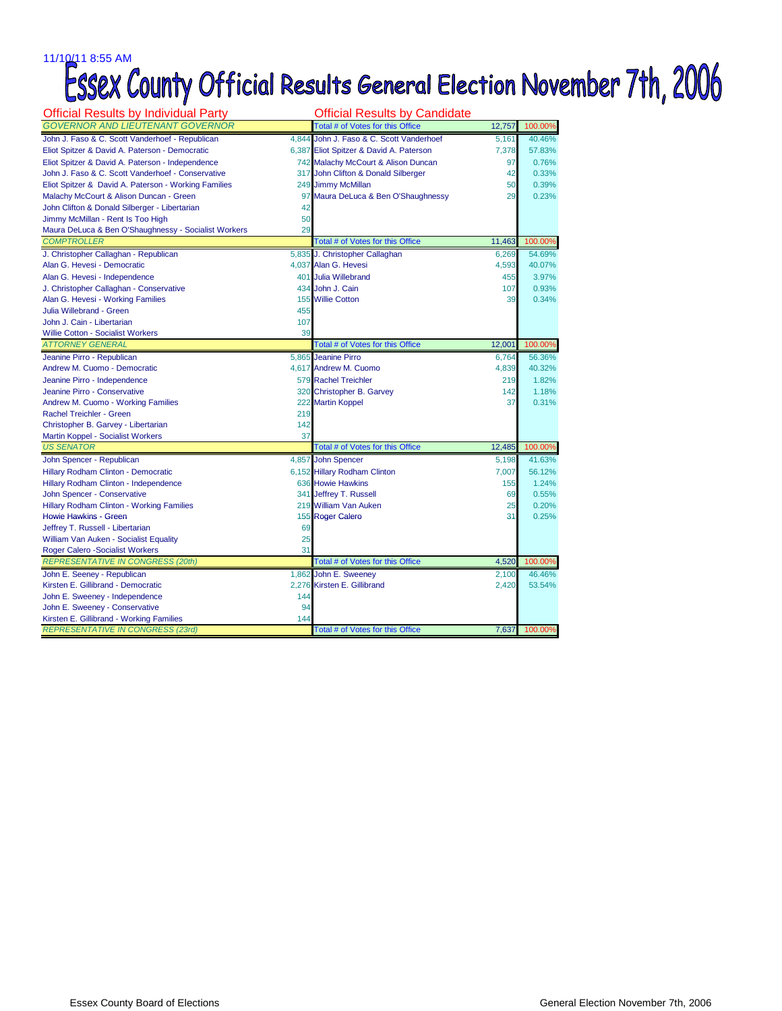## 11/10/11 8:55 AM<br>ESSEX County Official Results General Election November 7th, 2006

| <b>Official Results by Individual Party</b>                                         |          | <b>Official Results by Candidate</b>                 |                |         |
|-------------------------------------------------------------------------------------|----------|------------------------------------------------------|----------------|---------|
| <b>GOVERNOR AND LIEUTENANT GOVERNOR</b>                                             |          | Total # of Votes for this Office                     | 12,757         | 100.00% |
| John J. Faso & C. Scott Vanderhoef - Republican                                     |          | 4,844 John J. Faso & C. Scott Vanderhoef             | 5.161          | 40.46%  |
| Eliot Spitzer & David A. Paterson - Democratic                                      |          | 6,387 Eliot Spitzer & David A. Paterson              | 7,378          | 57.83%  |
| Eliot Spitzer & David A. Paterson - Independence                                    |          | 742 Malachy McCourt & Alison Duncan                  | 97             | 0.76%   |
| John J. Faso & C. Scott Vanderhoef - Conservative                                   |          | 317 John Clifton & Donald Silberger                  | 42             | 0.33%   |
| Eliot Spitzer & David A. Paterson - Working Families                                |          | 249 Jimmy McMillan                                   | 50             | 0.39%   |
| Malachy McCourt & Alison Duncan - Green                                             |          | 97 Maura DeLuca & Ben O'Shaughnessy                  | 29             | 0.23%   |
| John Clifton & Donald Silberger - Libertarian                                       | 42       |                                                      |                |         |
| Jimmy McMillan - Rent Is Too High                                                   | 50       |                                                      |                |         |
| Maura DeLuca & Ben O'Shaughnessy - Socialist Workers                                | 29       |                                                      |                |         |
| <b>COMPTROLLER</b>                                                                  |          | Total # of Votes for this Office                     | 11,463         | 100.00% |
| J. Christopher Callaghan - Republican                                               |          | 5,835 J. Christopher Callaghan                       | 6,269          | 54.69%  |
| Alan G. Hevesi - Democratic                                                         |          | 4,037 Alan G. Hevesi                                 | 4,593          | 40.07%  |
| Alan G. Hevesi - Independence                                                       |          | 401 Julia Willebrand                                 | 455            | 3.97%   |
| J. Christopher Callaghan - Conservative                                             |          | 434 John J. Cain                                     | 107            | 0.93%   |
| Alan G. Hevesi - Working Families                                                   |          | 155 Willie Cotton                                    | 39             | 0.34%   |
| Julia Willebrand - Green                                                            | 455      |                                                      |                |         |
| John J. Cain - Libertarian                                                          | 107      |                                                      |                |         |
| <b>Willie Cotton - Socialist Workers</b>                                            | 39       |                                                      |                |         |
| <b>ATTORNEY GENERAL</b>                                                             |          | Total # of Votes for this Office                     | 12,001         | 100.00% |
| Jeanine Pirro - Republican                                                          |          | 5,865 Jeanine Pirro                                  | 6,764          | 56.36%  |
| Andrew M. Cuomo - Democratic                                                        |          | 4,617 Andrew M. Cuomo                                | 4,839          | 40.32%  |
| Jeanine Pirro - Independence                                                        |          | 579 Rachel Treichler                                 | 219            | 1.82%   |
| Jeanine Pirro - Conservative                                                        |          | 320 Christopher B. Garvey                            | 142            | 1.18%   |
| Andrew M. Cuomo - Working Families                                                  |          | 222 Martin Koppel                                    | 37             | 0.31%   |
| Rachel Treichler - Green                                                            | 219      |                                                      |                |         |
| Christopher B. Garvey - Libertarian                                                 | 142      |                                                      |                |         |
| Martin Koppel - Socialist Workers                                                   | 37       |                                                      |                |         |
| <b>US SENATOR</b>                                                                   |          | Total # of Votes for this Office                     | 12,485         | 100.00% |
| John Spencer - Republican                                                           |          | 4,857 John Spencer                                   | 5,198          | 41.63%  |
| Hillary Rodham Clinton - Democratic                                                 |          | 6,152 Hillary Rodham Clinton                         | 7.007          | 56.12%  |
| Hillary Rodham Clinton - Independence                                               |          | 636 Howie Hawkins                                    | 155            | 1.24%   |
| John Spencer - Conservative                                                         |          | 341 Jeffrey T. Russell                               | 69             | 0.55%   |
| Hillary Rodham Clinton - Working Families                                           |          | 219 William Van Auken                                | 25             | 0.20%   |
| Howie Hawkins - Green                                                               |          | 155 Roger Calero                                     | 31             | 0.25%   |
| Jeffrey T. Russell - Libertarian                                                    | 69<br>25 |                                                      |                |         |
| William Van Auken - Socialist Equality                                              | 31       |                                                      |                |         |
| <b>Roger Calero - Socialist Workers</b><br><b>REPRESENTATIVE IN CONGRESS (20th)</b> |          | Total # of Votes for this Office                     | 4,520          | 100.00% |
|                                                                                     |          |                                                      |                | 46.46%  |
| John E. Seeney - Republican<br>Kirsten E. Gillibrand - Democratic                   |          | 1,862 John E. Sweeney<br>2,276 Kirsten E. Gillibrand | 2,100<br>2,420 | 53.54%  |
| John E. Sweeney - Independence                                                      | 144      |                                                      |                |         |
| John E. Sweeney - Conservative                                                      | 94       |                                                      |                |         |
| Kirsten E. Gillibrand - Working Families                                            | 144      |                                                      |                |         |
| <b>REPRESENTATIVE IN CONGRESS (23rd)</b>                                            |          | Total # of Votes for this Office                     | 7,637          | 100.00% |
|                                                                                     |          |                                                      |                |         |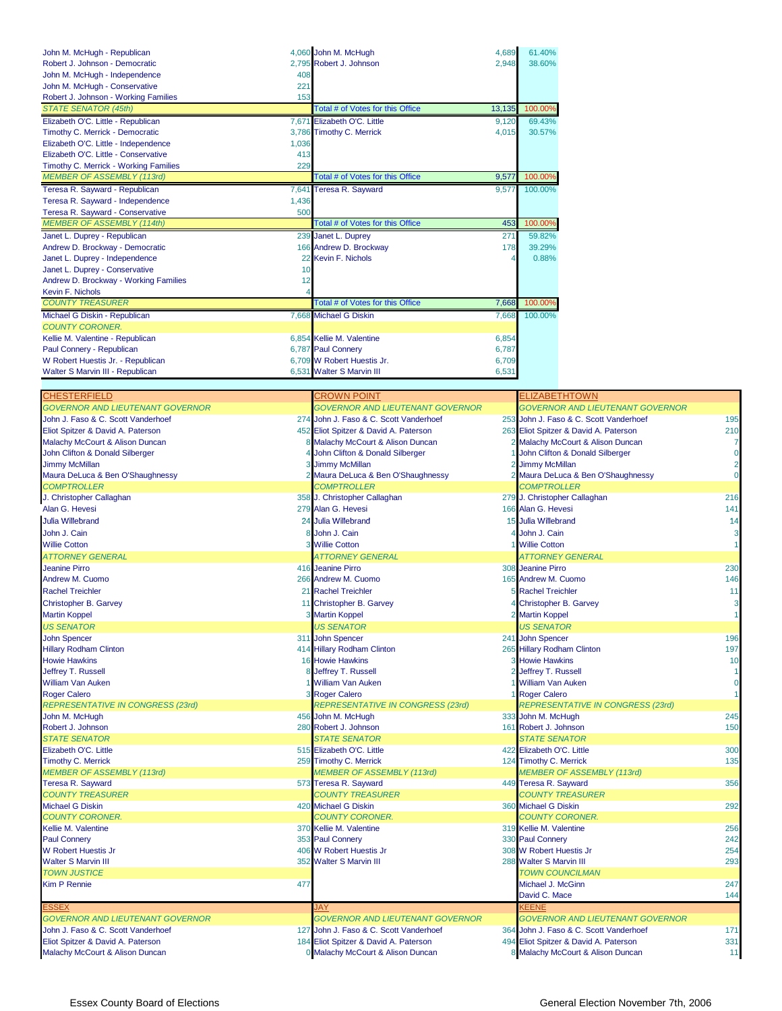| John M. McHugh - Republican                   | 4,060 John M. McHugh<br>4.689              | 61.40%  |
|-----------------------------------------------|--------------------------------------------|---------|
| Robert J. Johnson - Democratic                | 2.795 Robert J. Johnson<br>2,948           | 38.60%  |
| John M. McHugh - Independence<br>408          |                                            |         |
| John M. McHugh - Conservative<br>221          |                                            |         |
| Robert J. Johnson - Working Families<br>153   |                                            |         |
| <b>STATE SENATOR (45th)</b>                   | Total # of Votes for this Office<br>13,135 | 100.00% |
| Elizabeth O'C. Little - Republican            | 7.671 Elizabeth O'C. Little<br>9.120       | 69.43%  |
| Timothy C. Merrick - Democratic               | 3,786 Timothy C. Merrick<br>4,015          | 30.57%  |
| Elizabeth O'C. Little - Independence<br>1.036 |                                            |         |
| Elizabeth O'C. Little - Conservative<br>413   |                                            |         |
| 229<br>Timothy C. Merrick - Working Families  |                                            |         |
| <b>MEMBER OF ASSEMBLY (113rd)</b>             | Total # of Votes for this Office<br>9,577  | 100.00% |
| Teresa R. Sayward - Republican                | 7,641 Teresa R. Sayward<br>9.577           | 100.00% |
| Teresa R. Sayward - Independence<br>1,436     |                                            |         |
| Teresa R. Sayward - Conservative<br>500       |                                            |         |
| <b>MEMBER OF ASSEMBLY (114th)</b>             | Total # of Votes for this Office<br>453    | 100.00% |
| Janet L. Duprey - Republican                  | 239 Janet L. Duprey<br>271                 | 59.82%  |
| Andrew D. Brockway - Democratic               | 166 Andrew D. Brockway<br>178              | 39.29%  |
| Janet L. Duprey - Independence                | 22 Kevin F. Nichols                        | 0.88%   |
| Janet L. Duprey - Conservative<br>10          |                                            |         |
| Andrew D. Brockway - Working Families<br>12   |                                            |         |
| Kevin F. Nichols                              |                                            |         |
| <b>COUNTY TREASURER</b>                       | Total # of Votes for this Office<br>7,668  | 100.00% |
| Michael G Diskin - Republican                 | 7.668 Michael G Diskin<br>7,668            | 100.00% |
| <b>COUNTY CORONER.</b>                        |                                            |         |
| Kellie M. Valentine - Republican              | 6,854 Kellie M. Valentine<br>6,854         |         |
| Paul Connery - Republican                     | 6,787 Paul Connery<br>6,787                |         |
| W Robert Huestis Jr. - Republican             | 6.709 W Robert Huestis Jr.<br>6,709        |         |
| Walter S Marvin III - Republican              | 6,531 Walter S Marvin III<br>6,531         |         |

| CHESTERFIELD                               | <b>CROWN POINT</b>                       | ELIZABETHTOWN                                  |
|--------------------------------------------|------------------------------------------|------------------------------------------------|
| <b>GOVERNOR AND LIEUTENANT GOVERNOR</b>    | <b>GOVERNOR AND LIEUTENANT GOVERNOR</b>  | <b>GOVERNOR AND LIEUTENANT GOVERNOR</b>        |
| John J. Faso & C. Scott Vanderhoef         | 274 John J. Faso & C. Scott Vanderhoef   | 253 John J. Faso & C. Scott Vanderhoef<br>195  |
| Eliot Spitzer & David A. Paterson          | 452 Eliot Spitzer & David A. Paterson    | 210<br>263 Eliot Spitzer & David A. Paterson   |
| Malachy McCourt & Alison Duncan            | Malachy McCourt & Alison Duncan          | Malachy McCourt & Alison Duncan<br>7           |
| John Clifton & Donald Silberger            | John Clifton & Donald Silberger          | $\mathbf 0$<br>John Clifton & Donald Silberger |
| Jimmy McMillan                             | <b>Jimmy McMillan</b>                    | $\overline{2}$<br><b>Jimmy McMillan</b>        |
| Maura DeLuca & Ben O'Shaughnessy           | 2 Maura DeLuca & Ben O'Shaughnessy       | $\Omega$<br>2 Maura DeLuca & Ben O'Shaughnessy |
| <b>COMPTROLLER</b>                         | <b>COMPTROLLER</b>                       | <b>COMPTROLLER</b>                             |
| J. Christopher Callaghan                   | 358 J. Christopher Callaghan             | 216<br>279 J. Christopher Callaghan            |
| Alan G. Hevesi                             | 279 Alan G. Hevesi                       | 141<br>166 Alan G. Hevesi                      |
| <b>Julia Willebrand</b>                    | 24 Julia Willebrand                      | 15 Julia Willebrand<br>14                      |
| John J. Cain                               | John J. Cain                             | John J. Cain<br>3                              |
| <b>Willie Cotton</b>                       | <b>3 Willie Cotton</b>                   | 1 Willie Cotton                                |
|                                            |                                          |                                                |
| <b>ATTORNEY GENERAL</b>                    | <b>ATTORNEY GENERAL</b>                  | <b>ATTORNEY GENERAL</b>                        |
| <b>Jeanine Pirro</b>                       | 416 Jeanine Pirro                        | 308 Jeanine Pirro<br>230                       |
| Andrew M. Cuomo                            | 266 Andrew M. Cuomo                      | 165 Andrew M. Cuomo<br>146                     |
| <b>Rachel Treichler</b>                    | 21 Rachel Treichler                      | <b>5 Rachel Treichler</b><br>11                |
| Christopher B. Garvey                      | 11 Christopher B. Garvey                 | 3<br>Christopher B. Garvey                     |
| <b>Martin Koppel</b>                       | 3 Martin Koppel                          | Martin Koppel                                  |
| <b>US SENATOR</b>                          | <b>US SENATOR</b>                        | <b>US SENATOR</b>                              |
| <b>John Spencer</b>                        | 311 John Spencer                         | 241 John Spencer<br>196                        |
| <b>Hillary Rodham Clinton</b>              | 414 Hillary Rodham Clinton               | 197<br>265 Hillary Rodham Clinton              |
| <b>Howie Hawkins</b>                       | 16 Howie Hawkins                         | 10<br><b>3 Howie Hawkins</b>                   |
| Jeffrey T. Russell                         | Jeffrey T. Russell                       | <b>Jeffrey T. Russell</b>                      |
| William Van Auken                          | <b>William Van Auken</b>                 | $\mathbf 0$<br><b>William Van Auken</b>        |
| <b>Roger Calero</b>                        | <b>3 Roger Calero</b>                    | <b>Roger Calero</b>                            |
| <b>REPRESENTATIVE IN CONGRESS (23rd)</b>   | <b>REPRESENTATIVE IN CONGRESS (23rd)</b> | <b>REPRESENTATIVE IN CONGRESS (23rd)</b>       |
| John M. McHugh                             | 456 John M. McHugh                       | 245<br>333 John M. McHugh                      |
| Robert J. Johnson                          | 280 Robert J. Johnson                    | 161 Robert J. Johnson<br>150                   |
| <b>STATE SENATOR</b>                       | <b>STATE SENATOR</b>                     | <b>STATE SENATOR</b>                           |
| Elizabeth O'C. Little                      | 515 Elizabeth O'C. Little                | 300<br>422 Elizabeth O'C. Little               |
| <b>Timothy C. Merrick</b>                  | 259 Timothy C. Merrick                   | 135<br>124 Timothy C. Merrick                  |
| <b>MEMBER OF ASSEMBLY (113rd)</b>          | <b>MEMBER OF ASSEMBLY (113rd)</b>        | <b>MEMBER OF ASSEMBLY (113rd)</b>              |
| Teresa R. Sayward                          | 573 Teresa R. Sayward                    | 356<br>449 Teresa R. Sayward                   |
| <b>COUNTY TREASURER</b>                    | <b>COUNTY TREASURER</b>                  | <b>COUNTY TREASURER</b>                        |
| Michael G Diskin                           | 420 Michael G Diskin                     | 360 Michael G Diskin<br>292                    |
| <b>COUNTY CORONER.</b>                     | <b>COUNTY CORONER.</b>                   | <b>COUNTY CORONER.</b>                         |
| Kellie M. Valentine                        | 370 Kellie M. Valentine                  | 319 Kellie M. Valentine<br>256                 |
| <b>Paul Connery</b>                        | 353 Paul Connery                         | 330 Paul Connery<br>242                        |
| <b>W Robert Huestis Jr</b>                 | 406 W Robert Huestis Jr                  | 308 W Robert Huestis Jr<br>254                 |
| <b>Walter S Marvin III</b>                 | 352 Walter S Marvin III                  | 293<br>288 Walter S Marvin III                 |
| <b>TOWN JUSTICE</b>                        |                                          | <b>TOWN COUNCILMAN</b>                         |
| <b>Kim P Rennie</b><br>477                 |                                          | 247<br>Michael J. McGinn                       |
|                                            |                                          | David C. Mace<br>144                           |
| ESSEX                                      | JAY                                      | KEENE                                          |
| <b>GOVERNOR AND LIEUTENANT GOVERNOR</b>    | <b>GOVERNOR AND LIEUTENANT GOVERNOR</b>  | <b>GOVERNOR AND LIEUTENANT GOVERNOR</b>        |
| John J. Faso & C. Scott Vanderhoef         | 127 John J. Faso & C. Scott Vanderhoef   | 364 John J. Faso & C. Scott Vanderhoef<br>171  |
| Eliot Spitzer & David A. Paterson          | 184 Eliot Spitzer & David A. Paterson    | 331<br>494 Eliot Spitzer & David A. Paterson   |
| <b>Malachy McCourt &amp; Alison Duncan</b> | 0 Malachy McCourt & Alison Duncan        | 8 Malachy McCourt & Alison Duncan<br>11        |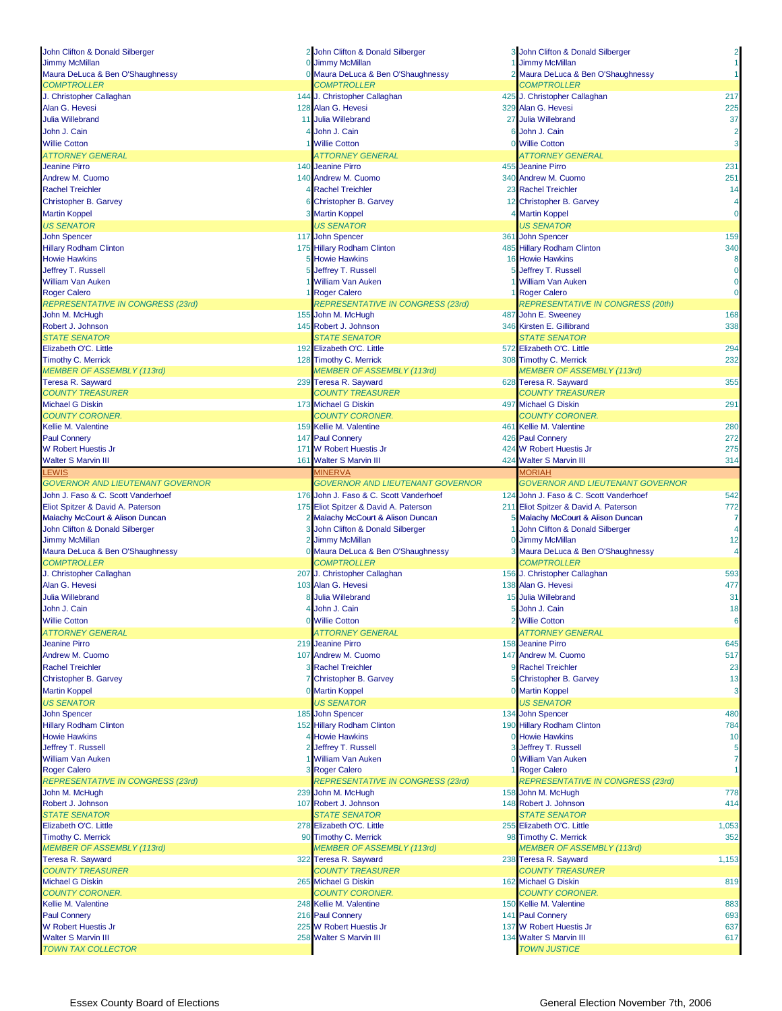| John Clifton & Donald Silberger                         |             | 2 John Clifton & Donald Silberger       | 3 John Clifton & Donald Silberger              | 2                                                                                                          |
|---------------------------------------------------------|-------------|-----------------------------------------|------------------------------------------------|------------------------------------------------------------------------------------------------------------|
| <b>Jimmy McMillan</b>                                   | $\mathbf 0$ | <b>Jimmy McMillan</b>                   | 1 Jimmy McMillan                               |                                                                                                            |
| Maura DeLuca & Ben O'Shaughnessy                        |             | Maura DeLuca & Ben O'Shaughnessy        | 2 Maura DeLuca & Ben O'Shaughnessy             |                                                                                                            |
| <b>COMPTROLLER</b>                                      |             | <b>COMPTROLLER</b>                      | <b>COMPTROLLER</b>                             |                                                                                                            |
|                                                         |             |                                         |                                                |                                                                                                            |
| J. Christopher Callaghan                                |             | 144 J. Christopher Callaghan            | 425 J. Christopher Callaghan                   | 217                                                                                                        |
| Alan G. Hevesi                                          |             | 128 Alan G. Hevesi                      | 329 Alan G. Hevesi                             | 225                                                                                                        |
| <b>Julia Willebrand</b>                                 |             | 11 Julia Willebrand                     | 27 Julia Willebrand                            | 37                                                                                                         |
| John J. Cain                                            |             | John J. Cain                            | 6 John J. Cain                                 | $\overline{2}$                                                                                             |
| <b>Willie Cotton</b>                                    |             | <b>Willie Cotton</b>                    | 0 Willie Cotton                                | 3                                                                                                          |
|                                                         |             |                                         |                                                |                                                                                                            |
| <b>ATTORNEY GENERAL</b>                                 |             | ATTORNEY GENERAL                        | ATTORNEY GENERAL                               |                                                                                                            |
| <b>Jeanine Pirro</b>                                    |             | 140 Jeanine Pirro                       | 455 Jeanine Pirro                              | 231                                                                                                        |
| Andrew M. Cuomo                                         |             | 140 Andrew M. Cuomo                     | 340 Andrew M. Cuomo                            | 251                                                                                                        |
| <b>Rachel Treichler</b>                                 |             | <b>Rachel Treichler</b>                 | 23 Rachel Treichler                            | 14                                                                                                         |
| <b>Christopher B. Garvey</b>                            |             | <b>Christopher B. Garvey</b>            | 12 Christopher B. Garvey                       | 4                                                                                                          |
| <b>Martin Koppel</b>                                    |             | 3 Martin Koppel                         | 4 Martin Koppel                                | $\overline{0}$                                                                                             |
|                                                         |             |                                         |                                                |                                                                                                            |
| <b>US SENATOR</b>                                       |             | <b>US SENATOR</b>                       | <b>US SENATOR</b>                              |                                                                                                            |
| <b>John Spencer</b>                                     |             | 117 John Spencer                        | 361 John Spencer                               | 159                                                                                                        |
| <b>Hillary Rodham Clinton</b>                           |             | 175 Hillary Rodham Clinton              | 485 Hillary Rodham Clinton                     | 340                                                                                                        |
| <b>Howie Hawkins</b>                                    |             | <b>5 Howie Hawkins</b>                  | 16 Howie Hawkins                               | 8                                                                                                          |
| Jeffrey T. Russell                                      |             | Jeffrey T. Russell                      | 5 Jeffrey T. Russell                           | $\mathbf 0$                                                                                                |
| <b>William Van Auken</b>                                |             | William Van Auken                       | 1 William Van Auken                            | $\mathbf 0$                                                                                                |
| <b>Roger Calero</b>                                     |             | 1 Roger Calero                          | 1 Roger Calero                                 | $\overline{0}$                                                                                             |
|                                                         |             |                                         |                                                |                                                                                                            |
| <b>REPRESENTATIVE IN CONGRESS (23rd)</b>                |             | REPRESENTATIVE IN CONGRESS (23rd)       | <b>REPRESENTATIVE IN CONGRESS (20th)</b>       |                                                                                                            |
| John M. McHugh                                          |             | 155 John M. McHugh                      | 487 John E. Sweeney                            | 168                                                                                                        |
| Robert J. Johnson                                       |             | 145 Robert J. Johnson                   | 346 Kirsten E. Gillibrand                      | 338                                                                                                        |
| <b>STATE SENATOR</b>                                    |             | <b>STATE SENATOR</b>                    | <b>STATE SENATOR</b>                           |                                                                                                            |
| Elizabeth O'C. Little                                   |             | 192 Elizabeth O'C. Little               | 572 Elizabeth O'C. Little                      | 294                                                                                                        |
| <b>Timothy C. Merrick</b>                               |             | 128 Timothy C. Merrick                  | 308 Timothy C. Merrick                         | 232                                                                                                        |
| <b>MEMBER OF ASSEMBLY (113rd)</b>                       |             | <b>MEMBER OF ASSEMBLY (113rd)</b>       | <b>MEMBER OF ASSEMBLY (113rd)</b>              |                                                                                                            |
| <b>Teresa R. Sayward</b>                                |             |                                         |                                                | 355                                                                                                        |
|                                                         |             | 239 Teresa R. Sayward                   | 628 Teresa R. Sayward                          |                                                                                                            |
| <b>COUNTY TREASURER</b>                                 |             | <b>COUNTY TREASURER</b>                 | <b>COUNTY TREASURER</b>                        |                                                                                                            |
| <b>Michael G Diskin</b>                                 |             | 173 Michael G Diskin                    | 497 Michael G Diskin                           | 291                                                                                                        |
| <b>COUNTY CORONER.</b>                                  |             | <b>COUNTY CORONER.</b>                  | <b>COUNTY CORONER.</b>                         |                                                                                                            |
| Kellie M. Valentine                                     |             | 159 Kellie M. Valentine                 | 461 Kellie M. Valentine                        | 280                                                                                                        |
| <b>Paul Connery</b>                                     |             | 147 Paul Connery                        | 426 Paul Connery                               | 272                                                                                                        |
| <b>W Robert Huestis Jr</b>                              |             | 171 W Robert Huestis Jr                 | 424 W Robert Huestis Jr                        | 275                                                                                                        |
|                                                         |             |                                         |                                                |                                                                                                            |
| <b>Walter S Marvin III</b>                              |             | 161 Walter S Marvin III                 | 424 Walter S Marvin III                        | 314                                                                                                        |
| <b>LEWIS</b>                                            |             | <b>MINERVA</b>                          | <b>MORIAH</b>                                  |                                                                                                            |
| <b>GOVERNOR AND LIEUTENANT GOVERNOR</b>                 |             |                                         | <b>GOVERNOR AND LIEUTENANT GOVERNOR</b>        |                                                                                                            |
|                                                         |             | <b>GOVERNOR AND LIEUTENANT GOVERNOR</b> |                                                |                                                                                                            |
| John J. Faso & C. Scott Vanderhoef                      |             | 176 John J. Faso & C. Scott Vanderhoef  | 124 John J. Faso & C. Scott Vanderhoef         |                                                                                                            |
|                                                         |             |                                         |                                                |                                                                                                            |
| Eliot Spitzer & David A. Paterson                       |             | 175 Eliot Spitzer & David A. Paterson   | 211 Eliot Spitzer & David A. Paterson          | 542<br>772                                                                                                 |
| Malachy McCourt & Alison Duncan                         |             | 2 Malachy McCourt & Alison Duncan       | 5 Malachy McCourt & Alison Duncan              | 7                                                                                                          |
| John Clifton & Donald Silberger                         | 3           | John Clifton & Donald Silberger         | 1 John Clifton & Donald Silberger              |                                                                                                            |
| <b>Jimmy McMillan</b>                                   |             | <b>Jimmy McMillan</b>                   | 0 Jimmy McMillan                               |                                                                                                            |
| Maura DeLuca & Ben O'Shaughnessy                        |             | 0 Maura DeLuca & Ben O'Shaughnessy      | 3 Maura DeLuca & Ben O'Shaughnessy             |                                                                                                            |
| <b>COMPTROLLER</b>                                      |             | <b>COMPTROLLER</b>                      | <b>COMPTROLLER</b>                             |                                                                                                            |
| J. Christopher Callaghan                                |             | 207 J. Christopher Callaghan            | 156 J. Christopher Callaghan                   |                                                                                                            |
| Alan G. Hevesi                                          |             | 103 Alan G. Hevesi                      | 138 Alan G. Hevesi                             |                                                                                                            |
|                                                         |             |                                         |                                                |                                                                                                            |
| <b>Julia Willebrand</b>                                 |             | <b>Julia Willebrand</b>                 | 15 Julia Willebrand                            | 31                                                                                                         |
| John J. Cain                                            |             | John J. Cain                            | 5 John J. Cain                                 |                                                                                                            |
| <b>Willie Cotton</b>                                    |             | <b>Willie Cotton</b>                    | 2 Willie Cotton                                |                                                                                                            |
| <b>ATTORNEY GENERAL</b>                                 |             | <b>ATTORNEY GENERAL</b>                 | <b>ATTORNEY GENERAL</b>                        |                                                                                                            |
| <b>Jeanine Pirro</b>                                    |             | 219 Jeanine Pirro                       | 158 Jeanine Pirro                              |                                                                                                            |
| Andrew M. Cuomo                                         |             | 107 Andrew M. Cuomo                     | 147 Andrew M. Cuomo                            |                                                                                                            |
|                                                         |             |                                         |                                                |                                                                                                            |
| <b>Rachel Treichler</b>                                 |             | 3 Rachel Treichler                      | 9 Rachel Treichler                             |                                                                                                            |
| Christopher B. Garvey                                   |             | Christopher B. Garvey                   | 5 Christopher B. Garvey                        |                                                                                                            |
| <b>Martin Koppel</b>                                    |             | 0 Martin Koppel                         | 0 Martin Koppel                                |                                                                                                            |
| <b>US SENATOR</b>                                       |             | <b>US SENATOR</b>                       | <b>US SENATOR</b>                              |                                                                                                            |
| <b>John Spencer</b>                                     |             | 185 John Spencer                        | 134 John Spencer                               |                                                                                                            |
| <b>Hillary Rodham Clinton</b>                           |             | 152 Hillary Rodham Clinton              |                                                |                                                                                                            |
|                                                         |             |                                         | 190 Hillary Rodham Clinton                     |                                                                                                            |
| <b>Howie Hawkins</b>                                    |             | <b>Howie Hawkins</b>                    | 0 Howie Hawkins                                |                                                                                                            |
| Jeffrey T. Russell                                      |             | Jeffrey T. Russell                      | 3 Jeffrey T. Russell                           |                                                                                                            |
| <b>William Van Auken</b>                                |             | 1 William Van Auken                     | 0 William Van Auken                            | 4<br>12<br>4<br>593<br>477<br>18<br>645<br>517<br>23<br>13<br>3<br>480<br>784<br>10<br>5<br>$\overline{7}$ |
| <b>Roger Calero</b>                                     |             | 3 Roger Calero                          | 1 Roger Calero                                 |                                                                                                            |
| <b>REPRESENTATIVE IN CONGRESS (23rd)</b>                |             | REPRESENTATIVE IN CONGRESS (23rd)       | <b>REPRESENTATIVE IN CONGRESS (23rd)</b>       |                                                                                                            |
| John M. McHugh                                          |             | 239 John M. McHugh                      | 158 John M. McHugh                             |                                                                                                            |
| Robert J. Johnson                                       |             | 107 Robert J. Johnson                   | 148 Robert J. Johnson                          |                                                                                                            |
| <b>STATE SENATOR</b>                                    |             | <b>STATE SENATOR</b>                    | <b>STATE SENATOR</b>                           |                                                                                                            |
|                                                         |             |                                         |                                                |                                                                                                            |
| Elizabeth O'C. Little                                   |             | 278 Elizabeth O'C. Little               | 255 Elizabeth O'C. Little                      |                                                                                                            |
| <b>Timothy C. Merrick</b>                               |             | 90 Timothy C. Merrick                   | 98 Timothy C. Merrick                          |                                                                                                            |
| <b>MEMBER OF ASSEMBLY (113rd)</b>                       |             | <b>MEMBER OF ASSEMBLY (113rd)</b>       | <b>MEMBER OF ASSEMBLY (113rd)</b>              |                                                                                                            |
| Teresa R. Sayward                                       |             | 322 Teresa R. Sayward                   | 238 Teresa R. Sayward                          |                                                                                                            |
| <b>COUNTY TREASURER</b>                                 |             | <b>COUNTY TREASURER</b>                 | <b>COUNTY TREASURER</b>                        |                                                                                                            |
| <b>Michael G Diskin</b>                                 |             | 265 Michael G Diskin                    | 162 Michael G Diskin                           |                                                                                                            |
| <b>COUNTY CORONER.</b>                                  |             | <b>COUNTY CORONER.</b>                  | <b>COUNTY CORONER.</b>                         |                                                                                                            |
|                                                         |             |                                         |                                                |                                                                                                            |
| Kellie M. Valentine                                     |             | 248 Kellie M. Valentine                 | 150 Kellie M. Valentine                        |                                                                                                            |
| <b>Paul Connery</b>                                     |             | 216 Paul Connery                        | 141 Paul Connery                               |                                                                                                            |
| <b>W Robert Huestis Jr</b>                              |             | 225 W Robert Huestis Jr                 | 137 W Robert Huestis Jr                        |                                                                                                            |
| <b>Walter S Marvin III</b><br><b>TOWN TAX COLLECTOR</b> |             | 258 Walter S Marvin III                 | 134 Walter S Marvin III<br><b>TOWN JUSTICE</b> | 778<br>414<br>1,053<br>352<br>1,153<br>819<br>883<br>693<br>637<br>617                                     |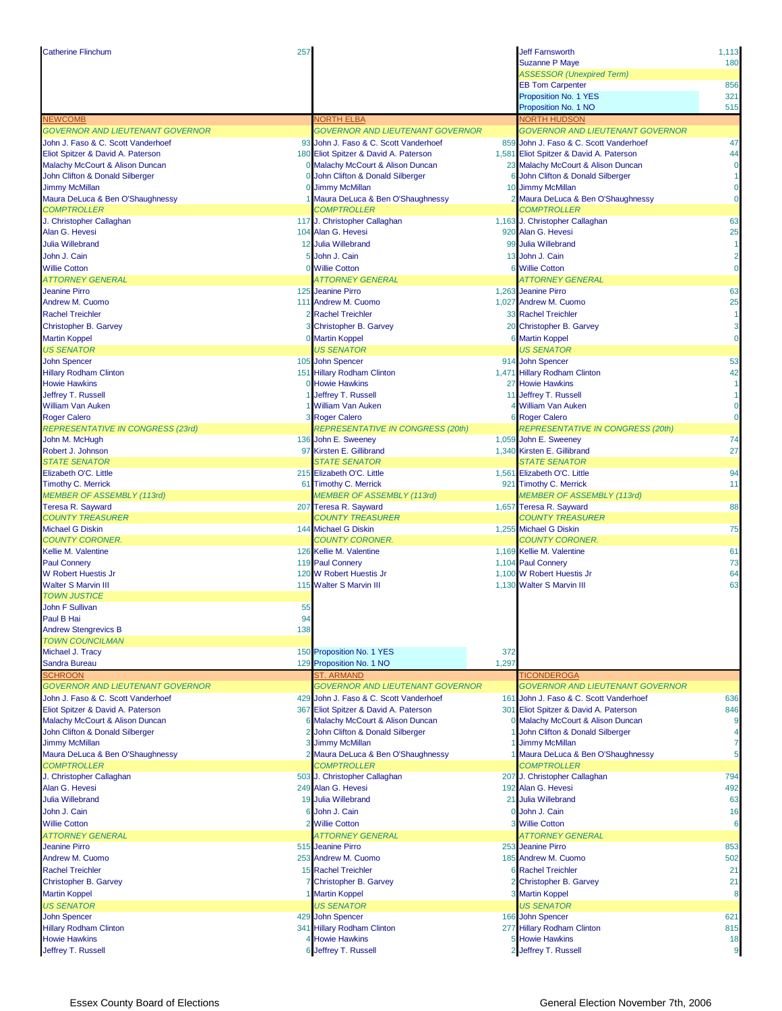| <b>Catherine Flinchum</b>                                 | 257          |                                                       |       | <b>Jeff Farnsworth</b>                                         | 1,113          |
|-----------------------------------------------------------|--------------|-------------------------------------------------------|-------|----------------------------------------------------------------|----------------|
|                                                           |              |                                                       |       | <b>Suzanne P Maye</b>                                          | 180            |
|                                                           |              |                                                       |       | <b>ASSESSOR (Unexpired Term)</b>                               |                |
|                                                           |              |                                                       |       | <b>EB Tom Carpenter</b>                                        | 856            |
|                                                           |              |                                                       |       | Proposition No. 1 YES                                          | 321            |
|                                                           |              |                                                       |       | Proposition No. 1 NO                                           | 515            |
| <b>NEWCOMB</b><br><b>GOVERNOR AND LIEUTENANT GOVERNOR</b> |              | <b>NORTH ELBA</b><br>GOVERNOR AND LIEUTENANT GOVERNOR |       | <b>NORTH HUDSON</b><br><b>GOVERNOR AND LIEUTENANT GOVERNOR</b> |                |
| John J. Faso & C. Scott Vanderhoef                        |              | 93 John J. Faso & C. Scott Vanderhoef                 |       | 859 John J. Faso & C. Scott Vanderhoef                         | 47             |
| Eliot Spitzer & David A. Paterson                         |              | 180 Eliot Spitzer & David A. Paterson                 |       | 1,581 Eliot Spitzer & David A. Paterson                        | 44             |
| Malachy McCourt & Alison Duncan                           |              | 0 Malachy McCourt & Alison Duncan                     |       | 23 Malachy McCourt & Alison Duncan                             | $\mathbf 0$    |
| John Clifton & Donald Silberger                           |              | 0 John Clifton & Donald Silberger                     |       | 6 John Clifton & Donald Silberger                              | 1              |
| <b>Jimmy McMillan</b>                                     |              | 0 Jimmy McMillan                                      |       | 10 Jimmy McMillan                                              | $\mathbf{0}$   |
| Maura DeLuca & Ben O'Shaughnessy                          |              | 1 Maura DeLuca & Ben O'Shaughnessy                    |       | 2 Maura DeLuca & Ben O'Shaughnessy                             | $\mathbf 0$    |
| <b>COMPTROLLER</b>                                        |              | <b>COMPTROLLER</b>                                    |       | <b>COMPTROLLER</b>                                             |                |
| J. Christopher Callaghan                                  |              | 117 J. Christopher Callaghan                          |       | 1,163 J. Christopher Callaghan                                 | 63             |
| Alan G. Hevesi                                            |              | 104 Alan G. Hevesi                                    |       | 920 Alan G. Hevesi                                             | 25             |
| <b>Julia Willebrand</b>                                   |              | 12 Julia Willebrand                                   |       | 99 Julia Willebrand                                            | 1              |
| John J. Cain                                              | 5            | John J. Cain                                          |       | 13 John J. Cain                                                | $\overline{2}$ |
| <b>Willie Cotton</b>                                      |              | <b>Willie Cotton</b>                                  |       | 6 Willie Cotton                                                | $\Omega$       |
| <b>ATTORNEY GENERAL</b>                                   |              | <b>ATTORNEY GENERAL</b>                               |       | ATTORNEY GENERAL                                               |                |
| <b>Jeanine Pirro</b>                                      |              | 125 Jeanine Pirro                                     |       | 1,263 Jeanine Pirro                                            | 63             |
| Andrew M. Cuomo                                           |              | 111 Andrew M. Cuomo                                   |       | 1,027 Andrew M. Cuomo                                          | 25             |
| <b>Rachel Treichler</b>                                   |              | 2 Rachel Treichler                                    |       | 33 Rachel Treichler                                            | $\mathbf{1}$   |
| Christopher B. Garvey                                     |              | <b>Christopher B. Garvey</b>                          |       | 20 Christopher B. Garvey                                       | 3              |
| <b>Martin Koppel</b>                                      |              | 0 Martin Koppel                                       |       | <b>6 Martin Koppel</b>                                         | $\overline{0}$ |
| <b>US SENATOR</b>                                         |              | <b>US SENATOR</b>                                     |       | <b>US SENATOR</b>                                              |                |
| <b>John Spencer</b>                                       |              | 105 John Spencer                                      |       | 914 John Spencer                                               | 53             |
| <b>Hillary Rodham Clinton</b>                             |              | 151 Hillary Rodham Clinton                            |       | 1,471 Hillary Rodham Clinton                                   | 42             |
| <b>Howie Hawkins</b>                                      |              | 0 Howie Hawkins                                       |       | 27 Howie Hawkins                                               | 1              |
| Jeffrey T. Russell                                        |              | 1 Jeffrey T. Russell                                  |       | 11 Jeffrey T. Russell                                          | $\mathbf{1}$   |
| <b>William Van Auken</b>                                  |              | 1 William Van Auken                                   |       | 4 William Van Auken                                            | $\mathbf{0}$   |
| <b>Roger Calero</b>                                       |              | 3 Roger Calero                                        |       | <b>6 Roger Calero</b>                                          | $\overline{0}$ |
| <b>REPRESENTATIVE IN CONGRESS (23rd)</b>                  |              | REPRESENTATIVE IN CONGRESS (20th)                     |       | <b>REPRESENTATIVE IN CONGRESS (20th)</b>                       |                |
| John M. McHugh                                            |              | 136 John E. Sweeney                                   |       | 1,059 John E. Sweeney                                          | 74             |
| Robert J. Johnson                                         |              | 97 Kirsten E. Gillibrand                              |       | 1,340 Kirsten E. Gillibrand                                    | 27             |
| <b>STATE SENATOR</b>                                      |              | <b>STATE SENATOR</b>                                  |       | <b>STATE SENATOR</b>                                           |                |
| Elizabeth O'C. Little                                     |              | 215 Elizabeth O'C. Little                             |       | 1,561 Elizabeth O'C. Little                                    | 94             |
| <b>Timothy C. Merrick</b>                                 |              | 61 Timothy C. Merrick                                 |       | 921 Timothy C. Merrick                                         | 11             |
| <b>MEMBER OF ASSEMBLY (113rd)</b>                         |              | <b>MEMBER OF ASSEMBLY (113rd)</b>                     |       | <b>MEMBER OF ASSEMBLY (113rd)</b>                              |                |
| Teresa R. Sayward                                         |              | 207 Teresa R. Sayward                                 |       | 1,657 Teresa R. Sayward                                        | 88             |
| <b>COUNTY TREASURER</b>                                   |              | <b>COUNTY TREASURER</b>                               |       | <b>COUNTY TREASURER</b>                                        |                |
| <b>Michael G Diskin</b>                                   |              | 144 Michael G Diskin                                  |       | 1,255 Michael G Diskin                                         | 75             |
| <b>COUNTY CORONER.</b>                                    |              | <b>COUNTY CORONER.</b>                                |       | <b>COUNTY CORONER.</b>                                         |                |
| Kellie M. Valentine                                       |              | 126 Kellie M. Valentine                               |       | 1,169 Kellie M. Valentine                                      | 61             |
| <b>Paul Connery</b>                                       |              | 119 Paul Connery                                      |       | 1,104 Paul Connery                                             | 73             |
| <b>W Robert Huestis Jr</b>                                |              | 120 W Robert Huestis Jr                               |       | 1.100 W Robert Huestis Jr                                      | 64             |
| <b>Walter S Marvin III</b>                                |              | 115 Walter S Marvin III                               |       | 1,130 Walter S Marvin III                                      | 63             |
| <b>TOWN JUSTICE</b><br><b>John F Sullivan</b>             | 55           |                                                       |       |                                                                |                |
| Paul B Hai                                                | 94           |                                                       |       |                                                                |                |
| <b>Andrew Stengrevics B</b>                               | 138          |                                                       |       |                                                                |                |
| <b>TOWN COUNCILMAN</b>                                    |              |                                                       |       |                                                                |                |
| Michael J. Tracy                                          |              | 150 Proposition No. 1 YES                             | 372   |                                                                |                |
| Sandra Bureau                                             |              | 129 Proposition No. 1 NO                              | 1,297 |                                                                |                |
| <b>SCHROON</b>                                            |              | <b>ST. ARMAND</b>                                     |       | <b>TICONDEROGA</b>                                             |                |
| <b>GOVERNOR AND LIEUTENANT GOVERNOR</b>                   |              | <b>GOVERNOR AND LIEUTENANT GOVERNOR</b>               |       | <b>GOVERNOR AND LIEUTENANT GOVERNOR</b>                        |                |
| John J. Faso & C. Scott Vanderhoef                        | 429          | John J. Faso & C. Scott Vanderhoef                    |       | 161 John J. Faso & C. Scott Vanderhoef                         | 636            |
| Eliot Spitzer & David A. Paterson                         |              | 367 Eliot Spitzer & David A. Paterson                 |       | 301 Eliot Spitzer & David A. Paterson                          | 846            |
| Malachy McCourt & Alison Duncan                           |              | 6 Malachy McCourt & Alison Duncan                     |       | 0 Malachy McCourt & Alison Duncan                              | 9              |
| John Clifton & Donald Silberger                           | $\mathbf{2}$ | John Clifton & Donald Silberger                       |       | 1 John Clifton & Donald Silberger                              | 4              |
| <b>Jimmy McMillan</b>                                     |              | <b>Jimmy McMillan</b>                                 |       | 1 Jimmy McMillan                                               | 7              |
| Maura DeLuca & Ben O'Shaughnessy                          |              | 2 Maura DeLuca & Ben O'Shaughnessy                    |       | 1 Maura DeLuca & Ben O'Shaughnessy                             | 5              |
| <b>COMPTROLLER</b>                                        |              | <b>COMPTROLLER</b>                                    |       | <b>COMPTROLLER</b>                                             |                |
| J. Christopher Callaghan                                  |              | 503 J. Christopher Callaghan                          |       | 207 J. Christopher Callaghan                                   | 794            |
| Alan G. Hevesi                                            |              | 249 Alan G. Hevesi                                    |       | 192 Alan G. Hevesi                                             | 492            |
| <b>Julia Willebrand</b>                                   |              | 19 Julia Willebrand                                   |       | 21 Julia Willebrand                                            | 63             |
| John J. Cain                                              |              | John J. Cain                                          |       | 0 John J. Cain                                                 | 16             |
| <b>Willie Cotton</b>                                      |              | 2 Willie Cotton                                       |       | 3 Willie Cotton                                                | 6              |
| <b>ATTORNEY GENERAL</b>                                   |              | <b>ATTORNEY GENERAL</b>                               |       | <b>ATTORNEY GENERAL</b>                                        |                |
| <b>Jeanine Pirro</b>                                      |              | 515 Jeanine Pirro                                     |       | 253 Jeanine Pirro                                              | 853            |
| Andrew M. Cuomo                                           |              | 253 Andrew M. Cuomo                                   |       | 185 Andrew M. Cuomo                                            | 502            |
| <b>Rachel Treichler</b>                                   |              | 15 Rachel Treichler                                   |       | <b>6 Rachel Treichler</b>                                      | 21             |
| Christopher B. Garvey                                     |              | Christopher B. Garvey                                 |       | 2 Christopher B. Garvey                                        | 21             |
| <b>Martin Koppel</b>                                      |              | 1 Martin Koppel                                       |       | 3 Martin Koppel                                                | 8              |
| <b>US SENATOR</b>                                         |              | <b>US SENATOR</b>                                     |       | <b>US SENATOR</b>                                              |                |
| <b>John Spencer</b>                                       |              | 429 John Spencer                                      |       | 166 John Spencer                                               | 621            |
| <b>Hillary Rodham Clinton</b>                             |              | 341 Hillary Rodham Clinton                            |       | 277 Hillary Rodham Clinton                                     | 815            |
| <b>Howie Hawkins</b>                                      |              | <b>Howie Hawkins</b>                                  |       | 5 Howie Hawkins                                                | 18             |
| Jeffrey T. Russell                                        |              | Jeffrey T. Russell                                    |       | 2 Jeffrey T. Russell                                           | 9              |